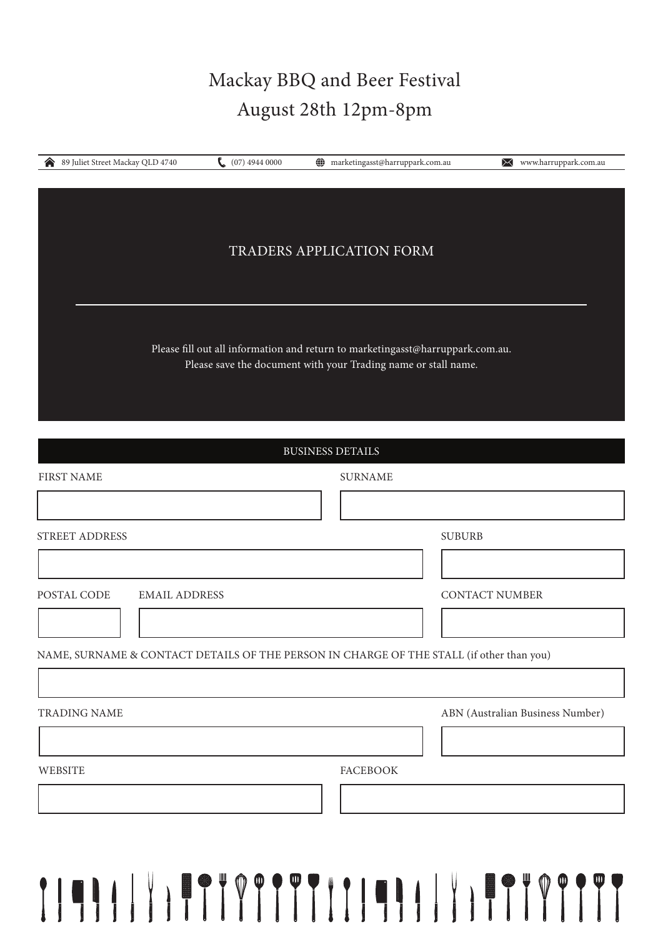# Mackay BBQ and Beer Festival August 28th 12pm-8pm

| 89 Juliet Street Mackay QLD 4740                                                         | $(07)$ 4944 0000 |                          | marketingasst@harruppark.com.au                                                                                                                  | www.harruppark.com.au            |  |  |  |
|------------------------------------------------------------------------------------------|------------------|--------------------------|--------------------------------------------------------------------------------------------------------------------------------------------------|----------------------------------|--|--|--|
|                                                                                          |                  | TRADERS APPLICATION FORM |                                                                                                                                                  |                                  |  |  |  |
|                                                                                          |                  |                          | Please fill out all information and return to marketingasst@harruppark.com.au.<br>Please save the document with your Trading name or stall name. |                                  |  |  |  |
|                                                                                          |                  | <b>BUSINESS DETAILS</b>  |                                                                                                                                                  |                                  |  |  |  |
| <b>FIRST NAME</b>                                                                        |                  |                          | <b>SURNAME</b>                                                                                                                                   |                                  |  |  |  |
|                                                                                          |                  |                          |                                                                                                                                                  |                                  |  |  |  |
| <b>STREET ADDRESS</b>                                                                    |                  |                          | <b>SUBURB</b>                                                                                                                                    |                                  |  |  |  |
|                                                                                          |                  |                          |                                                                                                                                                  |                                  |  |  |  |
| POSTAL CODE<br><b>EMAIL ADDRESS</b>                                                      |                  |                          |                                                                                                                                                  | <b>CONTACT NUMBER</b>            |  |  |  |
|                                                                                          |                  |                          |                                                                                                                                                  |                                  |  |  |  |
| NAME, SURNAME & CONTACT DETAILS OF THE PERSON IN CHARGE OF THE STALL (if other than you) |                  |                          |                                                                                                                                                  |                                  |  |  |  |
|                                                                                          |                  |                          |                                                                                                                                                  |                                  |  |  |  |
| <b>TRADING NAME</b>                                                                      |                  |                          |                                                                                                                                                  | ABN (Australian Business Number) |  |  |  |
|                                                                                          |                  |                          |                                                                                                                                                  |                                  |  |  |  |
| WEBSITE                                                                                  |                  | <b>FACEBOOK</b>          |                                                                                                                                                  |                                  |  |  |  |
|                                                                                          |                  |                          |                                                                                                                                                  |                                  |  |  |  |
|                                                                                          |                  |                          |                                                                                                                                                  |                                  |  |  |  |
|                                                                                          |                  |                          |                                                                                                                                                  |                                  |  |  |  |
|                                                                                          |                  |                          |                                                                                                                                                  |                                  |  |  |  |
|                                                                                          |                  |                          |                                                                                                                                                  |                                  |  |  |  |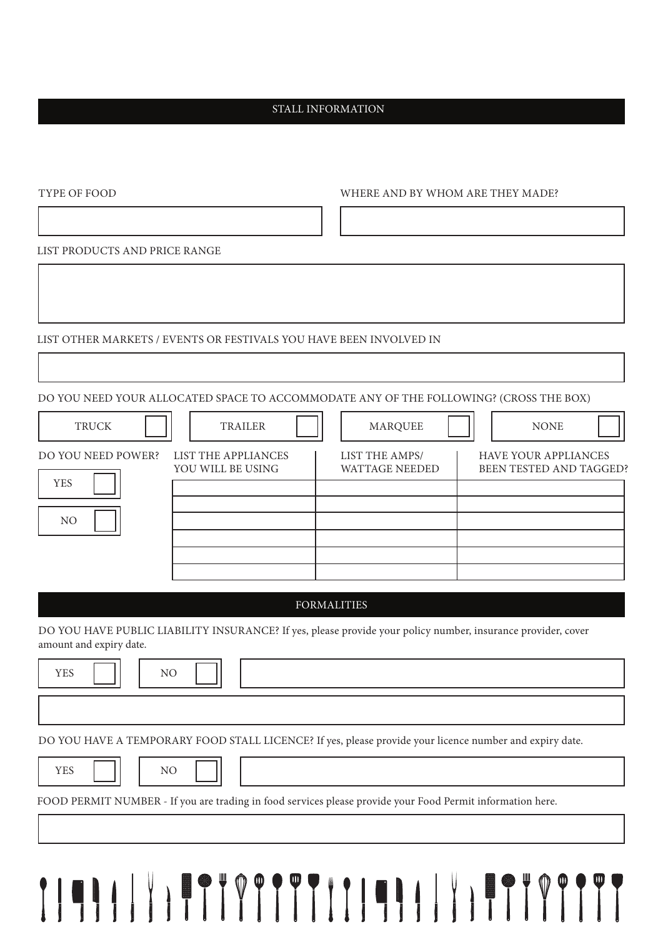## STALL INFORMATION

TYPE OF FOOD WHERE AND BY WHOM ARE THEY MADE?

LIST PRODUCTS AND PRICE RANGE

LIST OTHER MARKETS / EVENTS OR FESTIVALS YOU HAVE BEEN INVOLVED IN

DO YOU NEED YOUR ALLOCATED SPACE TO ACCOMMODATE ANY OF THE FOLLOWING? (CROSS THE BOX)

| <b>TRUCK</b>       | <b>TRAILER</b>                           | <b>MARQUEE</b>                          | <b>NONE</b>                                            |
|--------------------|------------------------------------------|-----------------------------------------|--------------------------------------------------------|
| DO YOU NEED POWER? | LIST THE APPLIANCES<br>YOU WILL BE USING | LIST THE AMPS/<br><b>WATTAGE NEEDED</b> | <b>HAVE YOUR APPLIANCES</b><br>BEEN TESTED AND TAGGED? |
| <b>YES</b>         |                                          |                                         |                                                        |
| NO.                |                                          |                                         |                                                        |
|                    |                                          |                                         |                                                        |
|                    |                                          |                                         |                                                        |

FORMALITIES

DO YOU HAVE PUBLIC LIABILITY INSURANCE? If yes, please provide your policy number, insurance provider, cover amount and expiry date.

| <b>YES</b> | N <sub>O</sub> |  |  |                                                                                                                                                                                                                                                                                                                                                                                                                                 |  |  |
|------------|----------------|--|--|---------------------------------------------------------------------------------------------------------------------------------------------------------------------------------------------------------------------------------------------------------------------------------------------------------------------------------------------------------------------------------------------------------------------------------|--|--|
|            |                |  |  | DO YOU HAVE A TEMPORARY FOOD STALL LICENCE? If yes, please provide your licence number and expiry date.                                                                                                                                                                                                                                                                                                                         |  |  |
| <b>YES</b> | NO             |  |  | FOOD PERMIT NUMBER - If you are trading in food services please provide your Food Permit information here.                                                                                                                                                                                                                                                                                                                      |  |  |
|            |                |  |  |                                                                                                                                                                                                                                                                                                                                                                                                                                 |  |  |
|            |                |  |  | $\begin{array}{c} \begin{array}{c} \text{1} & \text{1} & \text{1} & \text{1} & \text{1} & \text{1} & \text{1} & \text{1} & \text{1} & \text{1} & \text{1} & \text{1} & \text{1} & \text{1} & \text{1} & \text{1} & \text{1} & \text{1} & \text{1} & \text{1} & \text{1} & \text{1} & \text{1} & \text{1} & \text{1} & \text{1} & \text{1} & \text{1} & \text{1} & \text{1} & \text{1} & \text{1} & \text{1} & \text{1} & \text$ |  |  |